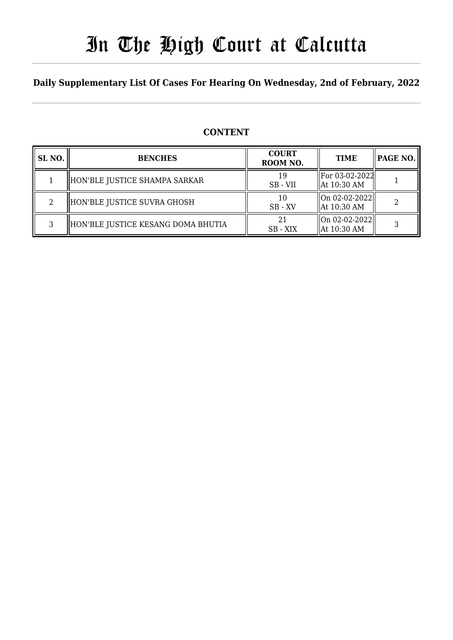# In The High Court at Calcutta

## **Daily Supplementary List Of Cases For Hearing On Wednesday, 2nd of February, 2022**

### **CONTENT**

| SL <sub>NO.</sub> | <b>BENCHES</b>                     | <b>COURT</b><br>ROOM NO. | <b>TIME</b>                                        | PAGE NO. |
|-------------------|------------------------------------|--------------------------|----------------------------------------------------|----------|
|                   | HON'BLE JUSTICE SHAMPA SARKAR      | 19<br>SB - VII           | For 03-02-2022<br>$\parallel$ At 10:30 AM          |          |
| 2                 | HON'BLE JUSTICE SUVRA GHOSH        | 10<br>$SB$ - $XV$        | On 02-02-2022  <br>$\parallel$ At 10:30 AM         | ר        |
| 3                 | HON'BLE JUSTICE KESANG DOMA BHUTIA | 21<br>SB - XIX           | $\ $ On 02-02-2022 $\ $<br>$\parallel$ At 10:30 AM |          |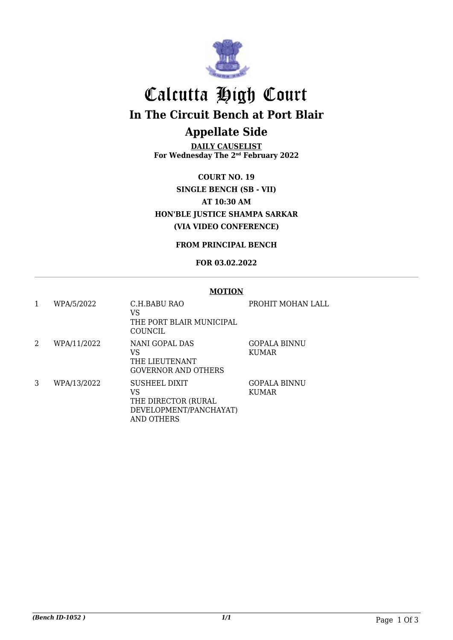

# Calcutta High Court

**In The Circuit Bench at Port Blair**

### **Appellate Side**

**DAILY CAUSELIST For Wednesday The 2nd February 2022**

**COURT NO. 19 SINGLE BENCH (SB - VII) AT 10:30 AM HON'BLE JUSTICE SHAMPA SARKAR (VIA VIDEO CONFERENCE)**

**FROM PRINCIPAL BENCH**

#### **FOR 03.02.2022**

#### **MOTION**

| 1 | WPA/5/2022  | C.H.BABU RAO<br>VS<br>THE PORT BLAIR MUNICIPAL<br>COUNCIL                          | PROHIT MOHAN LALL            |
|---|-------------|------------------------------------------------------------------------------------|------------------------------|
| 2 | WPA/11/2022 | NANI GOPAL DAS<br>VS<br>THE LIEUTENANT<br><b>GOVERNOR AND OTHERS</b>               | GOPALA BINNU<br><b>KUMAR</b> |
| 3 | WPA/13/2022 | SUSHEEL DIXIT<br>VS<br>THE DIRECTOR (RURAL<br>DEVELOPMENT/PANCHAYAT)<br>AND OTHERS | GOPALA BINNU<br><b>KUMAR</b> |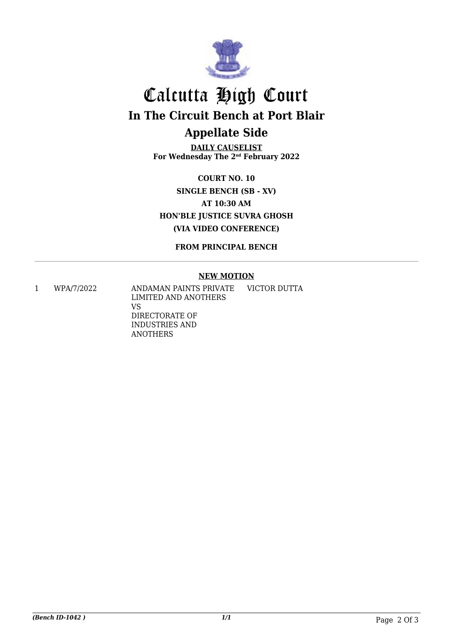

## Calcutta High Court **In The Circuit Bench at Port Blair Appellate Side**

**DAILY CAUSELIST For Wednesday The 2nd February 2022**

**COURT NO. 10 SINGLE BENCH (SB - XV) AT 10:30 AM HON'BLE JUSTICE SUVRA GHOSH (VIA VIDEO CONFERENCE)**

**FROM PRINCIPAL BENCH**

#### **NEW MOTION**

1 WPA/7/2022 ANDAMAN PAINTS PRIVATE LIMITED AND ANOTHERS VS DIRECTORATE OF INDUSTRIES AND ANOTHERS VICTOR DUTTA